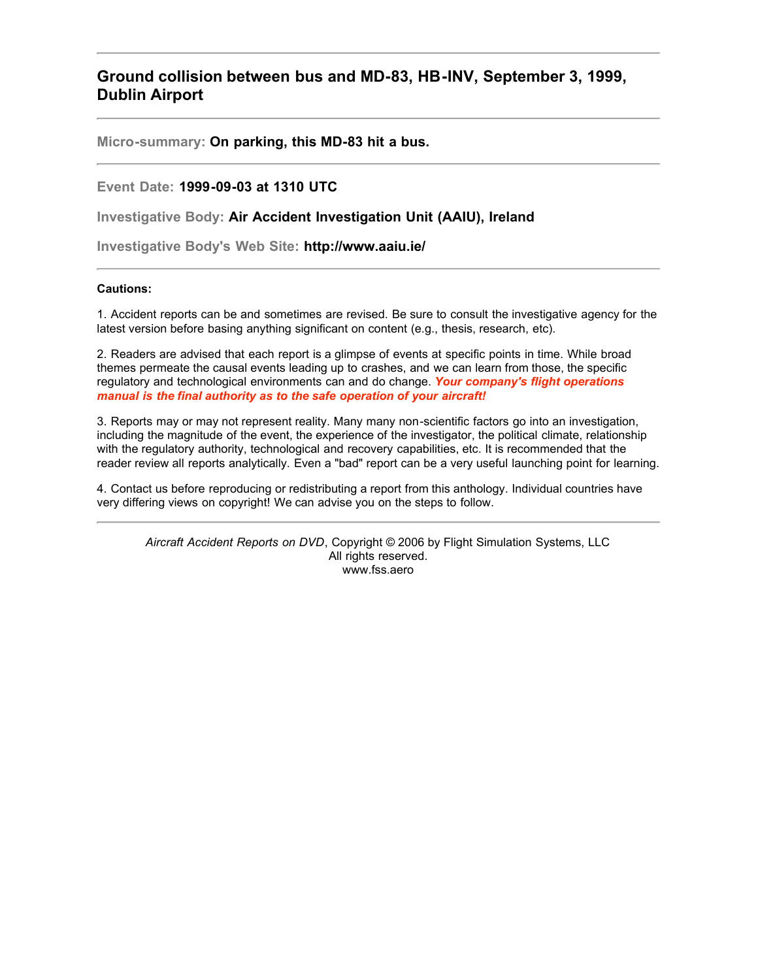# <span id="page-0-0"></span>**Ground collision between bus and MD-83, HB-INV, September 3, 1999, Dublin Airport**

**Micro-summary: On parking, this MD-83 hit a bus.**

**Event Date: 1999-09-03 at 1310 UTC**

**Investigative Body: Air Accident Investigation Unit (AAIU), Ireland**

**Investigative Body's Web Site: http://www.aaiu.ie/**

#### **Cautions:**

1. Accident reports can be and sometimes are revised. Be sure to consult the investigative agency for the latest version before basing anything significant on content (e.g., thesis, research, etc).

2. Readers are advised that each report is a glimpse of events at specific points in time. While broad themes permeate the causal events leading up to crashes, and we can learn from those, the specific regulatory and technological environments can and do change. *Your company's flight operations manual is the final authority as to the safe operation of your aircraft!*

3. Reports may or may not represent reality. Many many non-scientific factors go into an investigation, including the magnitude of the event, the experience of the investigator, the political climate, relationship with the regulatory authority, technological and recovery capabilities, etc. It is recommended that the reader review all reports analytically. Even a "bad" report can be a very useful launching point for learning.

4. Contact us before reproducing or redistributing a report from this anthology. Individual countries have very differing views on copyright! We can advise you on the steps to follow.

*Aircraft Accident Reports on DVD*, Copyright © 2006 by Flight Simulation Systems, LLC All rights reserved. www.fss.aero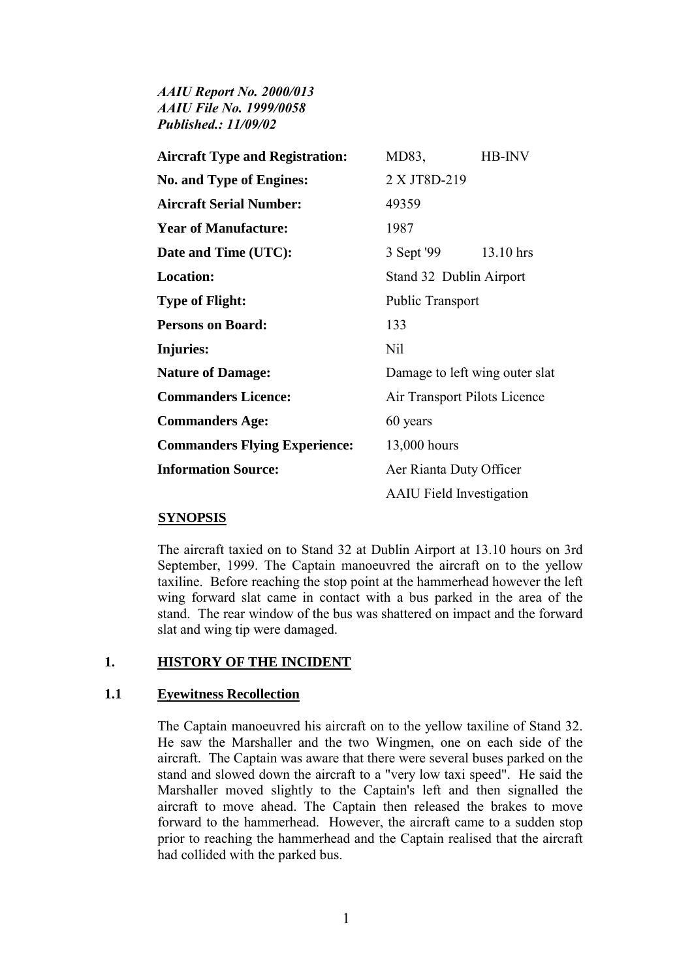*AAIU Report No. 2000/013 AAIU File No. 1999/0058 Published.: 11/09/02* 

| <b>Aircraft Type and Registration:</b> | MD83,                           | HB-INV    |
|----------------------------------------|---------------------------------|-----------|
| <b>No. and Type of Engines:</b>        | 2 X JT8D-219                    |           |
| <b>Aircraft Serial Number:</b>         | 49359                           |           |
| <b>Year of Manufacture:</b>            | 1987                            |           |
| Date and Time (UTC):                   | 3 Sept '99                      | 13.10 hrs |
| <b>Location:</b>                       | Stand 32 Dublin Airport         |           |
| <b>Type of Flight:</b>                 | <b>Public Transport</b>         |           |
| <b>Persons on Board:</b>               | 133                             |           |
| Injuries:                              | Nil                             |           |
| <b>Nature of Damage:</b>               | Damage to left wing outer slat  |           |
| <b>Commanders Licence:</b>             | Air Transport Pilots Licence    |           |
| <b>Commanders Age:</b>                 | 60 years                        |           |
| <b>Commanders Flying Experience:</b>   | 13,000 hours                    |           |
| <b>Information Source:</b>             | Aer Rianta Duty Officer         |           |
|                                        | <b>AAIU</b> Field Investigation |           |

#### **SYNOPSIS**

The aircraft taxied on to Stand 32 at Dublin Airport at 13.10 hours on 3rd September, 1999. The Captain manoeuvred the aircraft on to the yellow taxiline. Before reaching the stop point at the hammerhead however the left wing forward slat came in contact with a bus parked in the area of the stand. The rear window of the bus was shattered on impact and the forward slat and wing tip were damaged.

### **1. HISTORY OF THE INCIDENT**

#### **1.1 Eyewitness Recollection**

The Captain manoeuvred his aircraft on to the yellow taxiline of Stand 32. He saw the Marshaller and the two Wingmen, one on each side of the aircraft. The Captain was aware that there were several buses parked on the stand and slowed down the aircraft to a "very low taxi speed". He said the Marshaller moved slightly to the Captain's left and then signalled the aircraft to move ahead. The Captain then released the brakes to move forward to the hammerhead. However, the aircraft came to a sudden stop prior to reaching the hammerhead and the Captain realised that the aircraft had collided with the parked bus.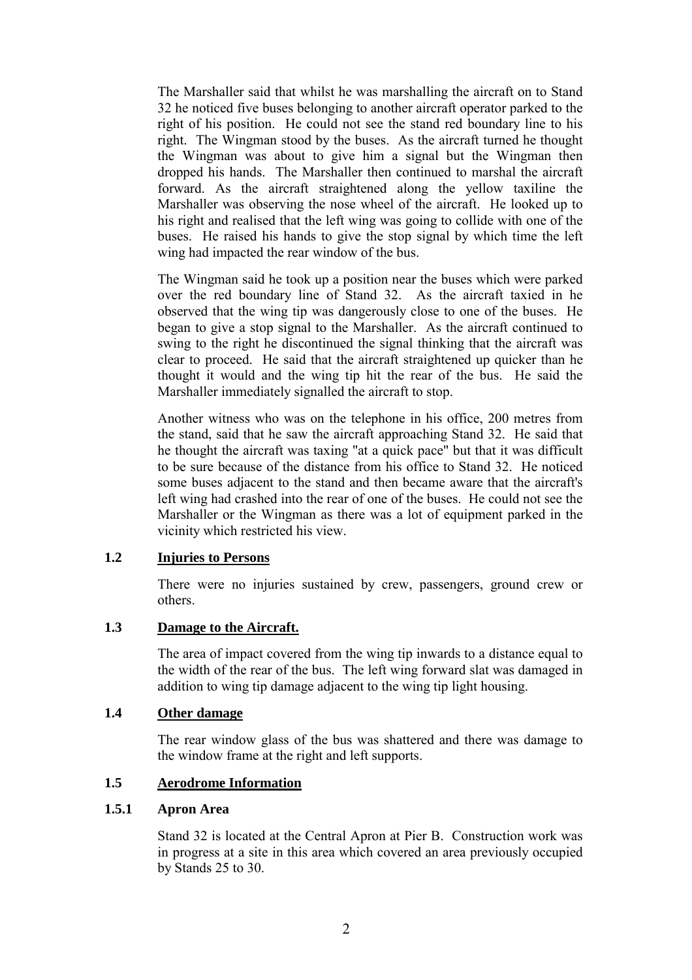The Marshaller said that whilst he was marshalling the aircraft on to Stand 32 he noticed five buses belonging to another aircraft operator parked to the right of his position. He could not see the stand red boundary line to his right. The Wingman stood by the buses. As the aircraft turned he thought the Wingman was about to give him a signal but the Wingman then dropped his hands. The Marshaller then continued to marshal the aircraft forward. As the aircraft straightened along the yellow taxiline the Marshaller was observing the nose wheel of the aircraft. He looked up to his right and realised that the left wing was going to collide with one of the buses. He raised his hands to give the stop signal by which time the left wing had impacted the rear window of the bus.

The Wingman said he took up a position near the buses which were parked over the red boundary line of Stand 32. As the aircraft taxied in he observed that the wing tip was dangerously close to one of the buses. He began to give a stop signal to the Marshaller. As the aircraft continued to swing to the right he discontinued the signal thinking that the aircraft was clear to proceed. He said that the aircraft straightened up quicker than he thought it would and the wing tip hit the rear of the bus. He said the Marshaller immediately signalled the aircraft to stop.

Another witness who was on the telephone in his office, 200 metres from the stand, said that he saw the aircraft approaching Stand 32. He said that he thought the aircraft was taxing "at a quick pace" but that it was difficult to be sure because of the distance from his office to Stand 32. He noticed some buses adjacent to the stand and then became aware that the aircraft's left wing had crashed into the rear of one of the buses. He could not see the Marshaller or the Wingman as there was a lot of equipment parked in the vicinity which restricted his view.

#### **1.2 Injuries to Persons**

There were no injuries sustained by crew, passengers, ground crew or others.

#### **1.3 Damage to the Aircraft.**

The area of impact covered from the wing tip inwards to a distance equal to the width of the rear of the bus. The left wing forward slat was damaged in addition to wing tip damage adjacent to the wing tip light housing.

#### **1.4 Other damage**

The rear window glass of the bus was shattered and there was damage to the window frame at the right and left supports.

#### **1.5 Aerodrome Information**

### **1.5.1 Apron Area**

Stand 32 is located at the Central Apron at Pier B. Construction work was in progress at a site in this area which covered an area previously occupied by Stands 25 to 30.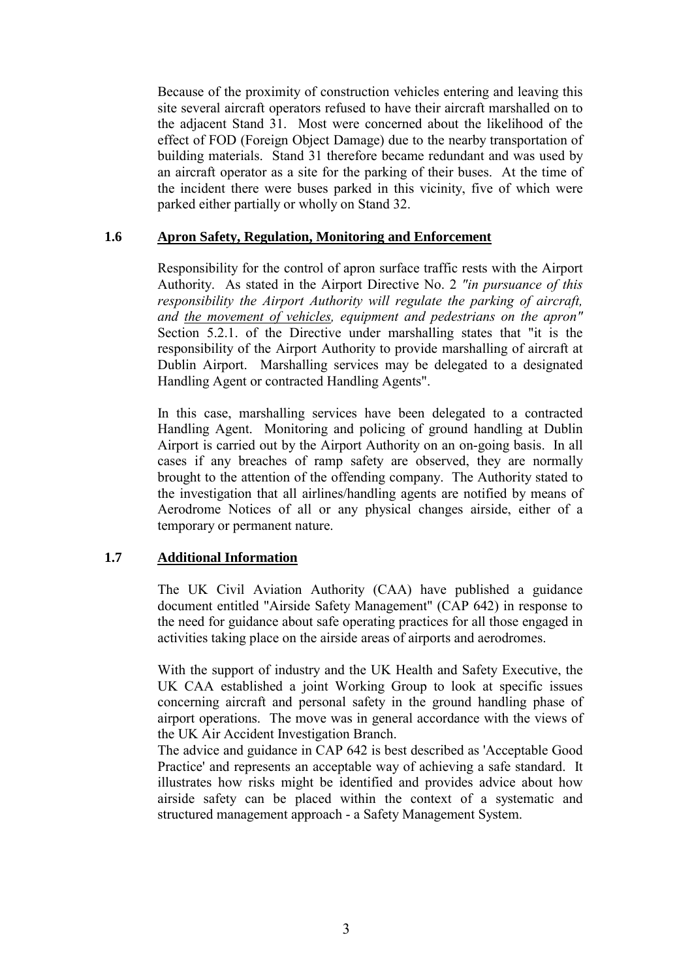Because of the proximity of construction vehicles entering and leaving this site several aircraft operators refused to have their aircraft marshalled on to the adjacent Stand 31. Most were concerned about the likelihood of the effect of FOD (Foreign Object Damage) due to the nearby transportation of building materials. Stand 31 therefore became redundant and was used by an aircraft operator as a site for the parking of their buses. At the time of the incident there were buses parked in this vicinity, five of which were parked either partially or wholly on Stand 32.

### **1.6 Apron Safety, Regulation, Monitoring and Enforcement**

Responsibility for the control of apron surface traffic rests with the Airport Authority. As stated in the Airport Directive No. 2 *"in pursuance of this responsibility the Airport Authority will regulate the parking of aircraft, and the movement of vehicles, equipment and pedestrians on the apron"* Section 5.2.1. of the Directive under marshalling states that "it is the responsibility of the Airport Authority to provide marshalling of aircraft at Dublin Airport. Marshalling services may be delegated to a designated Handling Agent or contracted Handling Agents".

In this case, marshalling services have been delegated to a contracted Handling Agent. Monitoring and policing of ground handling at Dublin Airport is carried out by the Airport Authority on an on-going basis. In all cases if any breaches of ramp safety are observed, they are normally brought to the attention of the offending company. The Authority stated to the investigation that all airlines/handling agents are notified by means of Aerodrome Notices of all or any physical changes airside, either of a temporary or permanent nature.

## **1.7 Additional Information**

The UK Civil Aviation Authority (CAA) have published a guidance document entitled "Airside Safety Management" (CAP 642) in response to the need for guidance about safe operating practices for all those engaged in activities taking place on the airside areas of airports and aerodromes.

With the support of industry and the UK Health and Safety Executive, the UK CAA established a joint Working Group to look at specific issues concerning aircraft and personal safety in the ground handling phase of airport operations. The move was in general accordance with the views of the UK Air Accident Investigation Branch.

The advice and guidance in CAP 642 is best described as 'Acceptable Good Practice' and represents an acceptable way of achieving a safe standard. It illustrates how risks might be identified and provides advice about how airside safety can be placed within the context of a systematic and structured management approach - a Safety Management System.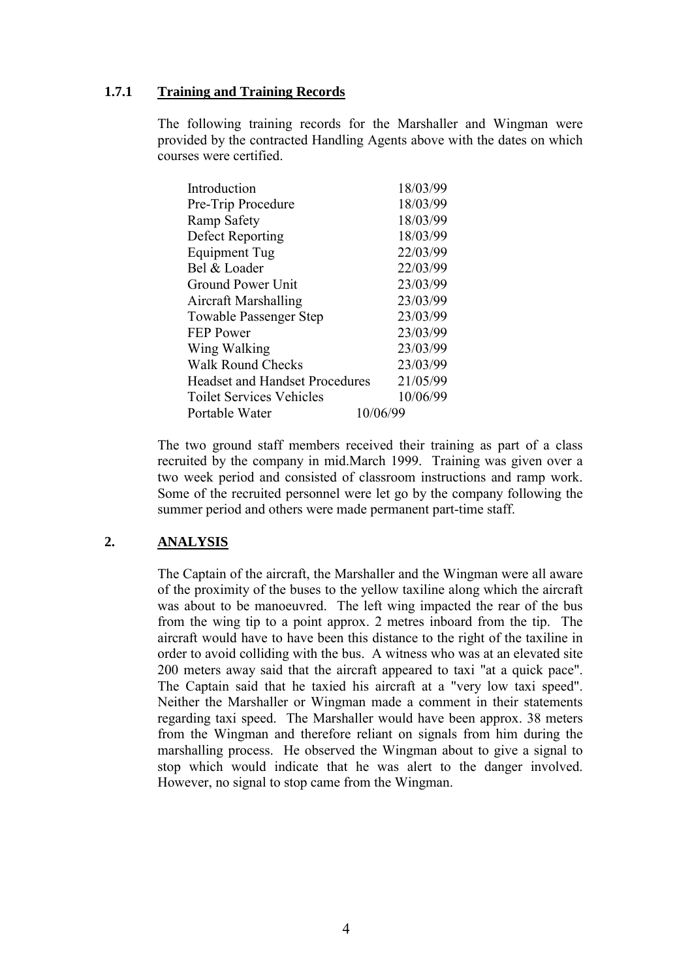### **1.7.1 Training and Training Records**

The following training records for the Marshaller and Wingman were provided by the contracted Handling Agents above with the dates on which courses were certified.

| Introduction                          | 18/03/99 |
|---------------------------------------|----------|
| Pre-Trip Procedure                    | 18/03/99 |
| Ramp Safety                           | 18/03/99 |
| Defect Reporting                      | 18/03/99 |
| Equipment Tug                         | 22/03/99 |
| Bel & Loader                          | 22/03/99 |
| Ground Power Unit                     | 23/03/99 |
| <b>Aircraft Marshalling</b>           | 23/03/99 |
| <b>Towable Passenger Step</b>         | 23/03/99 |
| <b>FEP Power</b>                      | 23/03/99 |
| Wing Walking                          | 23/03/99 |
| <b>Walk Round Checks</b>              | 23/03/99 |
| <b>Headset and Handset Procedures</b> | 21/05/99 |
| <b>Toilet Services Vehicles</b>       | 10/06/99 |
| Portable Water                        | 10/06/99 |

The two ground staff members received their training as part of a class recruited by the company in mid.March 1999. Training was given over a two week period and consisted of classroom instructions and ramp work. Some of the recruited personnel were let go by the company following the summer period and others were made permanent part-time staff.

## **2. ANALYSIS**

The Captain of the aircraft, the Marshaller and the Wingman were all aware of the proximity of the buses to the yellow taxiline along which the aircraft was about to be manoeuvred. The left wing impacted the rear of the bus from the wing tip to a point approx. 2 metres inboard from the tip. The aircraft would have to have been this distance to the right of the taxiline in order to avoid colliding with the bus. A witness who was at an elevated site 200 meters away said that the aircraft appeared to taxi "at a quick pace". The Captain said that he taxied his aircraft at a "very low taxi speed". Neither the Marshaller or Wingman made a comment in their statements regarding taxi speed. The Marshaller would have been approx. 38 meters from the Wingman and therefore reliant on signals from him during the marshalling process. He observed the Wingman about to give a signal to stop which would indicate that he was alert to the danger involved. However, no signal to stop came from the Wingman.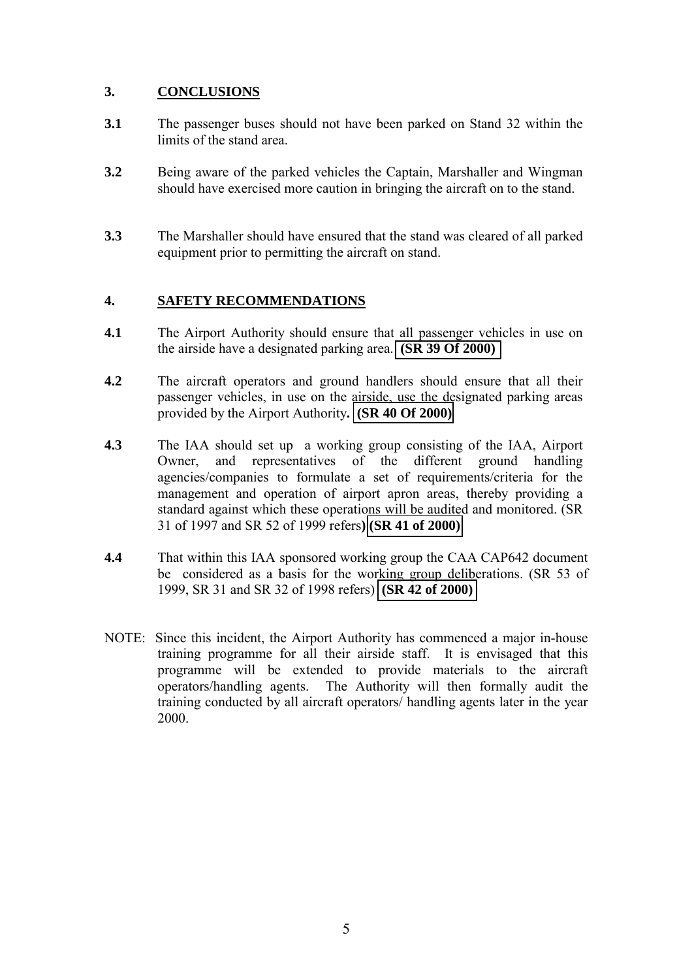# **3. CONCLUSIONS**

- **3.1** The passenger buses should not have been parked on Stand 32 within the limits of the stand area.
- **3.2** Being aware of the parked vehicles the Captain, Marshaller and Wingman should have exercised more caution in bringing the aircraft on to the stand.
- **3.3** The Marshaller should have ensured that the stand was cleared of all parked equipment prior to permitting the aircraft on stand.

# **4. SAFETY RECOMMENDATIONS**

- **4.1** The Airport Authority should ensure that all passenger vehicles in use on the airside have a designated parking area. **[\(SR 39 Of 2000\)](#page-0-0)**
- **4.2** The aircraft operators and ground handlers should ensure that all their passenger vehicles, in use on the airside, use the designated parking areas provided by the Airport Authority**. [\(SR 40 Of 2000\)](#page-0-0)**
- **4.3** The IAA should set up a working group consisting of the IAA, Airport Owner, and representatives of the different ground handling agencies/companies to formulate a set of requirements/criteria for the management and operation of airport apron areas, thereby providing a standard against which these operations will be audited and monitored. (SR 31 of 1997 and SR 52 of 1999 refers**) [\(SR 41 of 2000\)](#page-0-0)**
- **4.4** That within this IAA sponsored working group the CAA CAP642 document be considered as a basis for the working group deliberations. (SR 53 of 1999, SR 31 and SR 32 of 1998 refers) **[\(SR 42 of 2000\)](#page-0-0)**
- NOTE: Since this incident, the Airport Authority has commenced a major in-house training programme for all their airside staff. It is envisaged that this programme will be extended to provide materials to the aircraft operators/handling agents. The Authority will then formally audit the training conducted by all aircraft operators/ handling agents later in the year 2000.